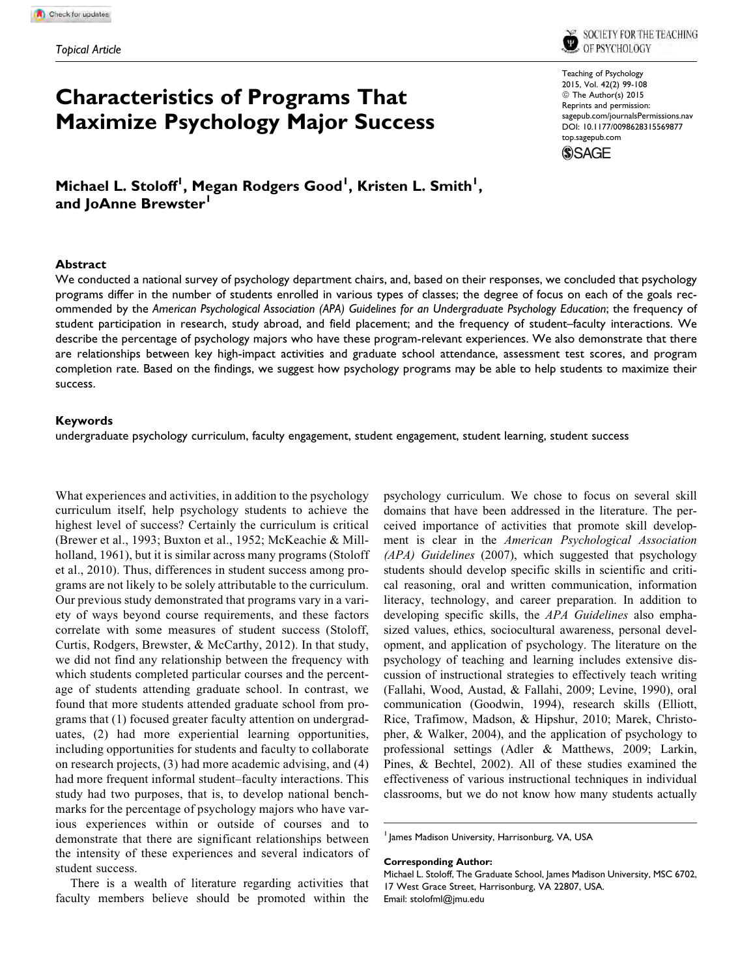SOCIETY FOR THE TEACHING OF PSYCHOLOGY

# Characteristics of Programs That Maximize Psychology Major Success

Teaching of Psychology 2015, Vol. 42(2) 99-108 © The Author(s) 2015 Reprints and permission: [sagepub.com/journalsPermissions.nav](http://www.sagepub.com/journalsPermissions.nav) DOI: 10.1177/0098628315569877 [top.sagepub.com](http://top.sagepub.com)



Michael L. Stoloff<sup>I</sup>, Megan Rodgers Good<sup>I</sup>, Kristen L. Smith<sup>I</sup>, and JoAnne Brewster<sup>1</sup>

#### Abstract

We conducted a national survey of psychology department chairs, and, based on their responses, we concluded that psychology programs differ in the number of students enrolled in various types of classes; the degree of focus on each of the goals recommended by the American Psychological Association (APA) Guidelines for an Undergraduate Psychology Education; the frequency of student participation in research, study abroad, and field placement; and the frequency of student–faculty interactions. We describe the percentage of psychology majors who have these program-relevant experiences. We also demonstrate that there are relationships between key high-impact activities and graduate school attendance, assessment test scores, and program completion rate. Based on the findings, we suggest how psychology programs may be able to help students to maximize their success.

#### Keywords

undergraduate psychology curriculum, faculty engagement, student engagement, student learning, student success

What experiences and activities, in addition to the psychology curriculum itself, help psychology students to achieve the highest level of success? Certainly the curriculum is critical (Brewer et al., 1993; Buxton et al., 1952; McKeachie & Millholland, 1961), but it is similar across many programs (Stoloff et al., 2010). Thus, differences in student success among programs are not likely to be solely attributable to the curriculum. Our previous study demonstrated that programs vary in a variety of ways beyond course requirements, and these factors correlate with some measures of student success (Stoloff, Curtis, Rodgers, Brewster, & McCarthy, 2012). In that study, we did not find any relationship between the frequency with which students completed particular courses and the percentage of students attending graduate school. In contrast, we found that more students attended graduate school from programs that (1) focused greater faculty attention on undergraduates, (2) had more experiential learning opportunities, including opportunities for students and faculty to collaborate on research projects, (3) had more academic advising, and (4) had more frequent informal student–faculty interactions. This study had two purposes, that is, to develop national benchmarks for the percentage of psychology majors who have various experiences within or outside of courses and to demonstrate that there are significant relationships between the intensity of these experiences and several indicators of student success.

There is a wealth of literature regarding activities that faculty members believe should be promoted within the psychology curriculum. We chose to focus on several skill domains that have been addressed in the literature. The perceived importance of activities that promote skill development is clear in the American Psychological Association (APA) Guidelines (2007), which suggested that psychology students should develop specific skills in scientific and critical reasoning, oral and written communication, information literacy, technology, and career preparation. In addition to developing specific skills, the APA Guidelines also emphasized values, ethics, sociocultural awareness, personal development, and application of psychology. The literature on the psychology of teaching and learning includes extensive discussion of instructional strategies to effectively teach writing (Fallahi, Wood, Austad, & Fallahi, 2009; Levine, 1990), oral communication (Goodwin, 1994), research skills (Elliott, Rice, Trafimow, Madson, & Hipshur, 2010; Marek, Christopher, & Walker, 2004), and the application of psychology to professional settings (Adler & Matthews, 2009; Larkin, Pines, & Bechtel, 2002). All of these studies examined the effectiveness of various instructional techniques in individual classrooms, but we do not know how many students actually

<sup>1</sup> James Madison University, Harrisonburg, VA, USA

#### Corresponding Author:

Michael L. Stoloff, The Graduate School, James Madison University, MSC 6702, 17 West Grace Street, Harrisonburg, VA 22807, USA. Email: stolofml@jmu.edu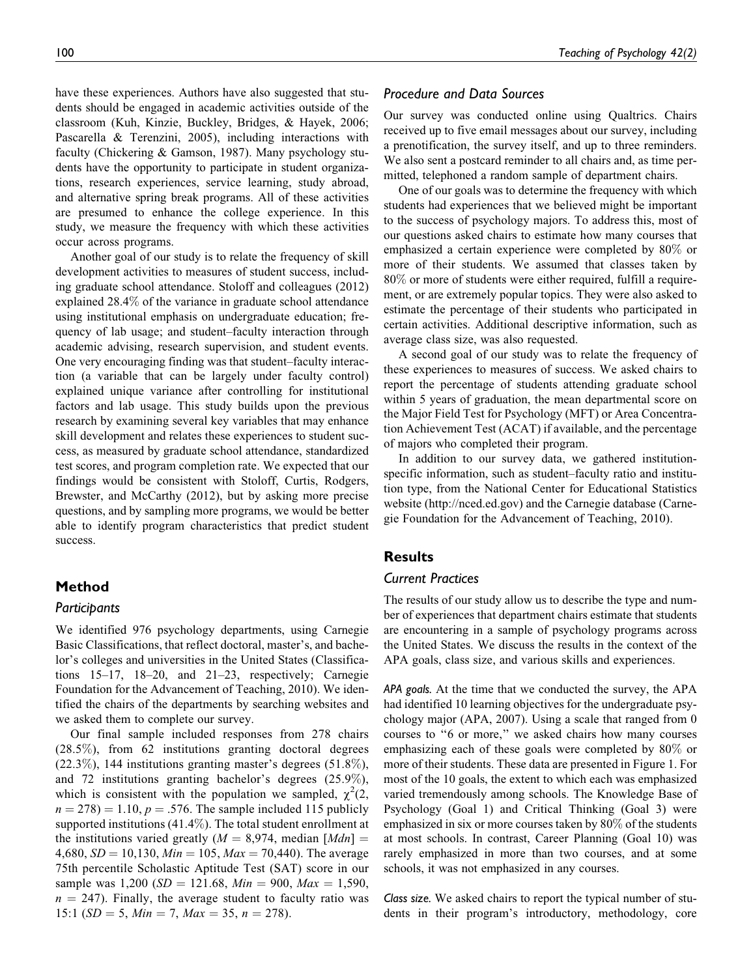have these experiences. Authors have also suggested that students should be engaged in academic activities outside of the classroom (Kuh, Kinzie, Buckley, Bridges, & Hayek, 2006; Pascarella & Terenzini, 2005), including interactions with faculty (Chickering & Gamson, 1987). Many psychology students have the opportunity to participate in student organizations, research experiences, service learning, study abroad, and alternative spring break programs. All of these activities are presumed to enhance the college experience. In this study, we measure the frequency with which these activities occur across programs.

Another goal of our study is to relate the frequency of skill development activities to measures of student success, including graduate school attendance. Stoloff and colleagues (2012) explained 28.4% of the variance in graduate school attendance using institutional emphasis on undergraduate education; frequency of lab usage; and student–faculty interaction through academic advising, research supervision, and student events. One very encouraging finding was that student–faculty interaction (a variable that can be largely under faculty control) explained unique variance after controlling for institutional factors and lab usage. This study builds upon the previous research by examining several key variables that may enhance skill development and relates these experiences to student success, as measured by graduate school attendance, standardized test scores, and program completion rate. We expected that our findings would be consistent with Stoloff, Curtis, Rodgers, Brewster, and McCarthy (2012), but by asking more precise questions, and by sampling more programs, we would be better able to identify program characteristics that predict student success.

## Method

## Participants

We identified 976 psychology departments, using Carnegie Basic Classifications, that reflect doctoral, master's, and bachelor's colleges and universities in the United States (Classifications 15–17, 18–20, and 21–23, respectively; Carnegie Foundation for the Advancement of Teaching, 2010). We identified the chairs of the departments by searching websites and we asked them to complete our survey.

Our final sample included responses from 278 chairs (28.5%), from 62 institutions granting doctoral degrees (22.3%), 144 institutions granting master's degrees (51.8%), and 72 institutions granting bachelor's degrees (25.9%), which is consistent with the population we sampled,  $\chi^2(2, \mathbf{r})$  $n = 278$ ) = 1.10,  $p = .576$ . The sample included 115 publicly supported institutions (41.4%). The total student enrollment at the institutions varied greatly ( $M = 8,974$ , median [Mdn] = 4,680,  $SD = 10,130$ ,  $Min = 105$ ,  $Max = 70,440$ ). The average 75th percentile Scholastic Aptitude Test (SAT) score in our sample was 1,200 ( $SD = 121.68$ ,  $Min = 900$ ,  $Max = 1,590$ ,  $n = 247$ ). Finally, the average student to faculty ratio was 15:1 (SD = 5, Min = 7, Max = 35, n = 278).

## Procedure and Data Sources

Our survey was conducted online using Qualtrics. Chairs received up to five email messages about our survey, including a prenotification, the survey itself, and up to three reminders. We also sent a postcard reminder to all chairs and, as time permitted, telephoned a random sample of department chairs.

One of our goals was to determine the frequency with which students had experiences that we believed might be important to the success of psychology majors. To address this, most of our questions asked chairs to estimate how many courses that emphasized a certain experience were completed by 80% or more of their students. We assumed that classes taken by 80% or more of students were either required, fulfill a requirement, or are extremely popular topics. They were also asked to estimate the percentage of their students who participated in certain activities. Additional descriptive information, such as average class size, was also requested.

A second goal of our study was to relate the frequency of these experiences to measures of success. We asked chairs to report the percentage of students attending graduate school within 5 years of graduation, the mean departmental score on the Major Field Test for Psychology (MFT) or Area Concentration Achievement Test (ACAT) if available, and the percentage of majors who completed their program.

In addition to our survey data, we gathered institutionspecific information, such as student–faculty ratio and institution type, from the National Center for Educational Statistics website (http://nced.ed.gov) and the Carnegie database (Carnegie Foundation for the Advancement of Teaching, 2010).

# **Results**

## Current Practices

The results of our study allow us to describe the type and number of experiences that department chairs estimate that students are encountering in a sample of psychology programs across the United States. We discuss the results in the context of the APA goals, class size, and various skills and experiences.

APA goals. At the time that we conducted the survey, the APA had identified 10 learning objectives for the undergraduate psychology major (APA, 2007). Using a scale that ranged from 0 courses to ''6 or more,'' we asked chairs how many courses emphasizing each of these goals were completed by 80% or more of their students. These data are presented in Figure 1. For most of the 10 goals, the extent to which each was emphasized varied tremendously among schools. The Knowledge Base of Psychology (Goal 1) and Critical Thinking (Goal 3) were emphasized in six or more courses taken by 80% of the students at most schools. In contrast, Career Planning (Goal 10) was rarely emphasized in more than two courses, and at some schools, it was not emphasized in any courses.

Class size. We asked chairs to report the typical number of students in their program's introductory, methodology, core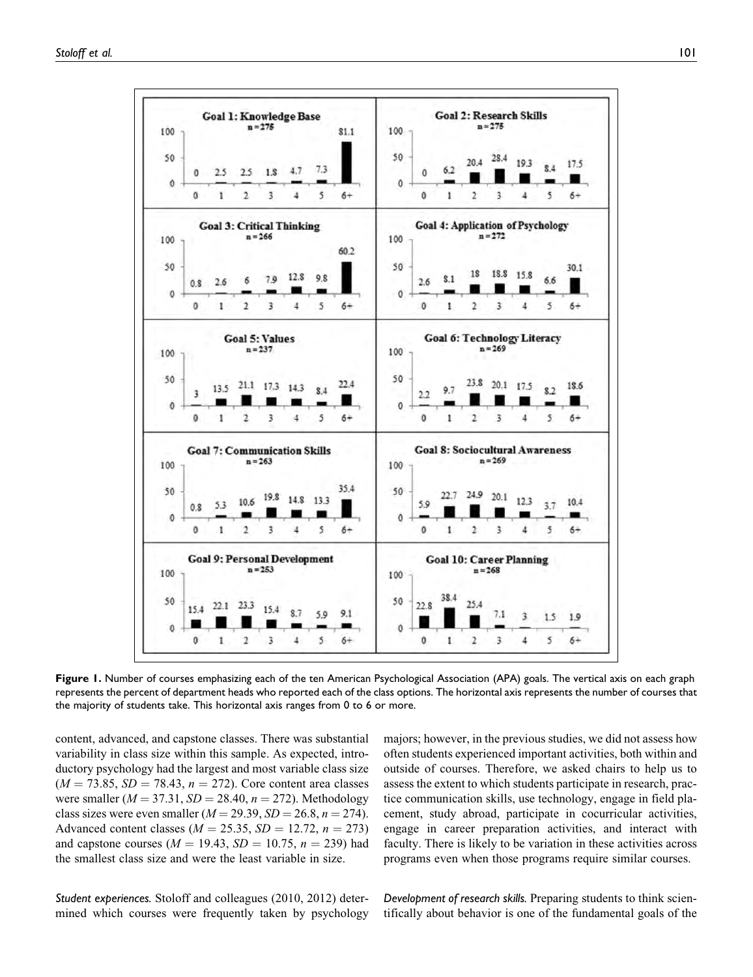

Figure 1. Number of courses emphasizing each of the ten American Psychological Association (APA) goals. The vertical axis on each graph represents the percent of department heads who reported each of the class options. The horizontal axis represents the number of courses that the majority of students take. This horizontal axis ranges from 0 to 6 or more.

content, advanced, and capstone classes. There was substantial variability in class size within this sample. As expected, introductory psychology had the largest and most variable class size  $(M = 73.85, SD = 78.43, n = 272)$ . Core content area classes were smaller ( $M = 37.31$ ,  $SD = 28.40$ ,  $n = 272$ ). Methodology class sizes were even smaller ( $M = 29.39$ ,  $SD = 26.8$ ,  $n = 274$ ). Advanced content classes ( $M = 25.35$ ,  $SD = 12.72$ ,  $n = 273$ ) and capstone courses ( $M = 19.43$ ,  $SD = 10.75$ ,  $n = 239$ ) had the smallest class size and were the least variable in size.

Student experiences. Stoloff and colleagues (2010, 2012) determined which courses were frequently taken by psychology majors; however, in the previous studies, we did not assess how often students experienced important activities, both within and outside of courses. Therefore, we asked chairs to help us to assess the extent to which students participate in research, practice communication skills, use technology, engage in field placement, study abroad, participate in cocurricular activities, engage in career preparation activities, and interact with faculty. There is likely to be variation in these activities across programs even when those programs require similar courses.

Development of research skills. Preparing students to think scientifically about behavior is one of the fundamental goals of the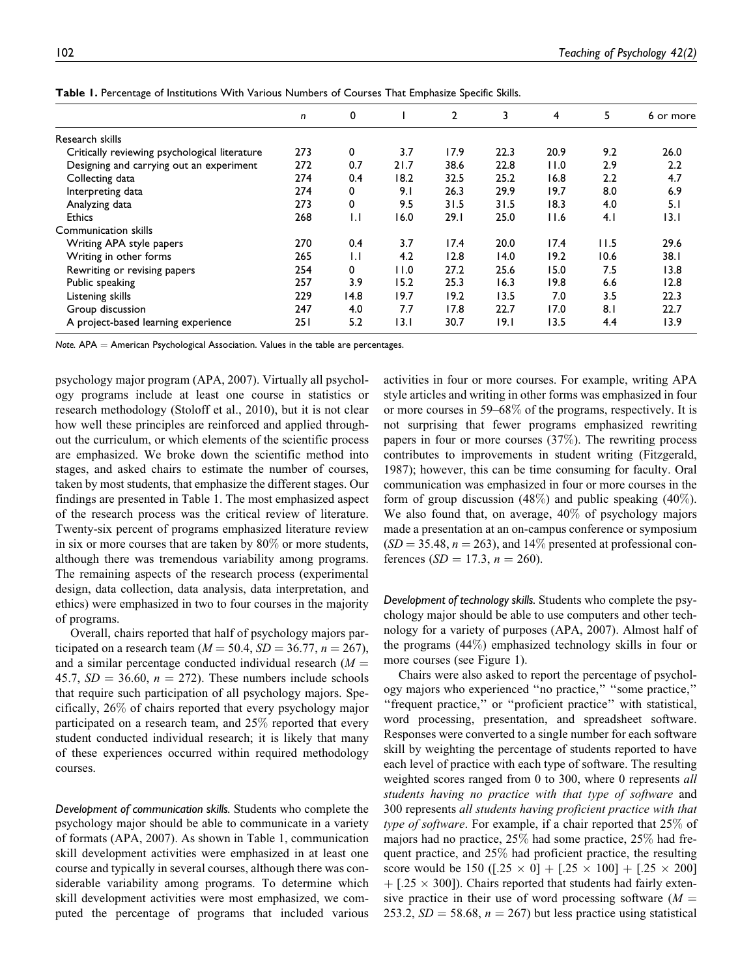|                                               | n   | 0            |      | 2    | 3    | 4    | 5    | 6 or more |
|-----------------------------------------------|-----|--------------|------|------|------|------|------|-----------|
| Research skills                               |     |              |      |      |      |      |      |           |
| Critically reviewing psychological literature | 273 | 0            | 3.7  | 17.9 | 22.3 | 20.9 | 9.2  | 26.0      |
| Designing and carrying out an experiment      | 272 | 0.7          | 21.7 | 38.6 | 22.8 | 11.0 | 2.9  | 2.2       |
| Collecting data                               | 274 | 0.4          | 18.2 | 32.5 | 25.2 | 16.8 | 2.2  | 4.7       |
| Interpreting data                             | 274 | 0            | 9.1  | 26.3 | 29.9 | 19.7 | 8.0  | 6.9       |
| Analyzing data                                | 273 | 0            | 9.5  | 31.5 | 31.5 | 18.3 | 4.0  | 5.1       |
| <b>Ethics</b>                                 | 268 | $\mathbf{L}$ | 16.0 | 29.1 | 25.0 | 11.6 | 4.1  | 13.1      |
| Communication skills                          |     |              |      |      |      |      |      |           |
| Writing APA style papers                      | 270 | 0.4          | 3.7  | 17.4 | 20.0 | 17.4 | 11.5 | 29.6      |
| Writing in other forms                        | 265 | $\mathbf{L}$ | 4.2  | 12.8 | 14.0 | 19.2 | 10.6 | 38.I      |
| Rewriting or revising papers                  | 254 | 0            | 11.0 | 27.2 | 25.6 | 15.0 | 7.5  | 13.8      |
| Public speaking                               | 257 | 3.9          | 15.2 | 25.3 | 16.3 | 19.8 | 6.6  | 12.8      |
| Listening skills                              | 229 | 14.8         | 19.7 | 19.2 | 13.5 | 7.0  | 3.5  | 22.3      |
| Group discussion                              | 247 | 4.0          | 7.7  | 17.8 | 22.7 | 17.0 | 8.1  | 22.7      |
| A project-based learning experience           | 251 | 5.2          | 13.I | 30.7 | 19.I | 13.5 | 4.4  | 13.9      |

Table 1. Percentage of Institutions With Various Numbers of Courses That Emphasize Specific Skills.

Note.  $APA =$  American Psychological Association. Values in the table are percentages.

psychology major program (APA, 2007). Virtually all psychology programs include at least one course in statistics or research methodology (Stoloff et al., 2010), but it is not clear how well these principles are reinforced and applied throughout the curriculum, or which elements of the scientific process are emphasized. We broke down the scientific method into stages, and asked chairs to estimate the number of courses, taken by most students, that emphasize the different stages. Our findings are presented in Table 1. The most emphasized aspect of the research process was the critical review of literature. Twenty-six percent of programs emphasized literature review in six or more courses that are taken by 80% or more students, although there was tremendous variability among programs. The remaining aspects of the research process (experimental design, data collection, data analysis, data interpretation, and ethics) were emphasized in two to four courses in the majority of programs.

Overall, chairs reported that half of psychology majors participated on a research team ( $M = 50.4$ ,  $SD = 36.77$ ,  $n = 267$ ), and a similar percentage conducted individual research  $(M =$ 45.7,  $SD = 36.60$ ,  $n = 272$ ). These numbers include schools that require such participation of all psychology majors. Specifically, 26% of chairs reported that every psychology major participated on a research team, and 25% reported that every student conducted individual research; it is likely that many of these experiences occurred within required methodology courses.

Development of communication skills. Students who complete the psychology major should be able to communicate in a variety of formats (APA, 2007). As shown in Table 1, communication skill development activities were emphasized in at least one course and typically in several courses, although there was considerable variability among programs. To determine which skill development activities were most emphasized, we computed the percentage of programs that included various activities in four or more courses. For example, writing APA style articles and writing in other forms was emphasized in four or more courses in 59–68% of the programs, respectively. It is not surprising that fewer programs emphasized rewriting papers in four or more courses (37%). The rewriting process contributes to improvements in student writing (Fitzgerald, 1987); however, this can be time consuming for faculty. Oral communication was emphasized in four or more courses in the form of group discussion (48%) and public speaking (40%). We also found that, on average, 40% of psychology majors made a presentation at an on-campus conference or symposium  $(SD = 35.48, n = 263)$ , and 14% presented at professional conferences ( $SD = 17.3$ ,  $n = 260$ ).

Development of technology skills. Students who complete the psychology major should be able to use computers and other technology for a variety of purposes (APA, 2007). Almost half of the programs (44%) emphasized technology skills in four or more courses (see Figure 1).

Chairs were also asked to report the percentage of psychology majors who experienced ''no practice,'' ''some practice,'' "frequent practice," or "proficient practice" with statistical, word processing, presentation, and spreadsheet software. Responses were converted to a single number for each software skill by weighting the percentage of students reported to have each level of practice with each type of software. The resulting weighted scores ranged from 0 to 300, where 0 represents *all* students having no practice with that type of software and 300 represents all students having proficient practice with that type of software. For example, if a chair reported that 25% of majors had no practice, 25% had some practice, 25% had frequent practice, and 25% had proficient practice, the resulting score would be 150 ( $[.25 \times 0] + [.25 \times 100] + [.25 \times 200]$  $+$  [.25  $\times$  300]). Chairs reported that students had fairly extensive practice in their use of word processing software  $(M =$ 253.2,  $SD = 58.68$ ,  $n = 267$ ) but less practice using statistical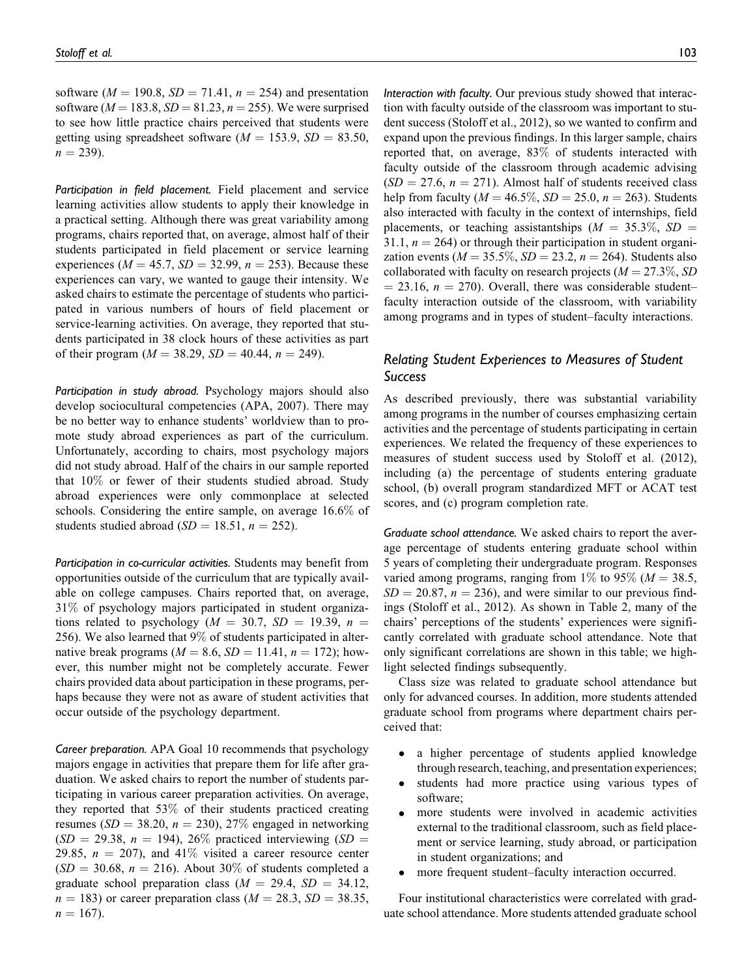software ( $M = 190.8$ ,  $SD = 71.41$ ,  $n = 254$ ) and presentation software ( $M = 183.8$ ,  $SD = 81.23$ ,  $n = 255$ ). We were surprised to see how little practice chairs perceived that students were getting using spreadsheet software ( $M = 153.9$ ,  $SD = 83.50$ ,  $n = 239$ ).

Participation in field placement. Field placement and service learning activities allow students to apply their knowledge in a practical setting. Although there was great variability among programs, chairs reported that, on average, almost half of their students participated in field placement or service learning experiences ( $M = 45.7$ ,  $SD = 32.99$ ,  $n = 253$ ). Because these experiences can vary, we wanted to gauge their intensity. We asked chairs to estimate the percentage of students who participated in various numbers of hours of field placement or service-learning activities. On average, they reported that students participated in 38 clock hours of these activities as part of their program ( $M = 38.29$ ,  $SD = 40.44$ ,  $n = 249$ ).

Participation in study abroad. Psychology majors should also develop sociocultural competencies (APA, 2007). There may be no better way to enhance students' worldview than to promote study abroad experiences as part of the curriculum. Unfortunately, according to chairs, most psychology majors did not study abroad. Half of the chairs in our sample reported that 10% or fewer of their students studied abroad. Study abroad experiences were only commonplace at selected schools. Considering the entire sample, on average 16.6% of students studied abroad ( $SD = 18.51$ ,  $n = 252$ ).

Participation in co-curricular activities. Students may benefit from opportunities outside of the curriculum that are typically available on college campuses. Chairs reported that, on average, 31% of psychology majors participated in student organizations related to psychology ( $M = 30.7$ ,  $SD = 19.39$ ,  $n =$ 256). We also learned that 9% of students participated in alternative break programs ( $M = 8.6$ ,  $SD = 11.41$ ,  $n = 172$ ); however, this number might not be completely accurate. Fewer chairs provided data about participation in these programs, perhaps because they were not as aware of student activities that occur outside of the psychology department.

Career preparation. APA Goal 10 recommends that psychology majors engage in activities that prepare them for life after graduation. We asked chairs to report the number of students participating in various career preparation activities. On average, they reported that 53% of their students practiced creating resumes ( $SD = 38.20$ ,  $n = 230$ ), 27% engaged in networking  $(SD = 29.38, n = 194)$ , 26% practiced interviewing  $(SD = 194)$ 29.85,  $n = 207$ , and 41% visited a career resource center  $(SD = 30.68, n = 216)$ . About 30% of students completed a graduate school preparation class  $(M = 29.4, SD = 34.12,$  $n = 183$ ) or career preparation class ( $M = 28.3$ ,  $SD = 38.35$ ,  $n = 167$ ).

Interaction with faculty. Our previous study showed that interaction with faculty outside of the classroom was important to student success (Stoloff et al., 2012), so we wanted to confirm and expand upon the previous findings. In this larger sample, chairs reported that, on average, 83% of students interacted with faculty outside of the classroom through academic advising  $(SD = 27.6, n = 271)$ . Almost half of students received class help from faculty ( $M = 46.5\%$ ,  $SD = 25.0$ ,  $n = 263$ ). Students also interacted with faculty in the context of internships, field placements, or teaching assistantships  $(M = 35.3\%, SD =$ 31.1,  $n = 264$ ) or through their participation in student organization events ( $M = 35.5\%, SD = 23.2, n = 264$ ). Students also collaborated with faculty on research projects ( $M = 27.3\%, SD$  $=$  23.16,  $n = 270$ ). Overall, there was considerable student– faculty interaction outside of the classroom, with variability among programs and in types of student–faculty interactions.

## Relating Student Experiences to Measures of Student Success

As described previously, there was substantial variability among programs in the number of courses emphasizing certain activities and the percentage of students participating in certain experiences. We related the frequency of these experiences to measures of student success used by Stoloff et al. (2012), including (a) the percentage of students entering graduate school, (b) overall program standardized MFT or ACAT test scores, and (c) program completion rate.

Graduate school attendance. We asked chairs to report the average percentage of students entering graduate school within 5 years of completing their undergraduate program. Responses varied among programs, ranging from 1\% to 95\% ( $M = 38.5$ ,  $SD = 20.87$ ,  $n = 236$ ), and were similar to our previous findings (Stoloff et al., 2012). As shown in Table 2, many of the chairs' perceptions of the students' experiences were significantly correlated with graduate school attendance. Note that only significant correlations are shown in this table; we highlight selected findings subsequently.

Class size was related to graduate school attendance but only for advanced courses. In addition, more students attended graduate school from programs where department chairs perceived that:

- a higher percentage of students applied knowledge through research, teaching, and presentation experiences;
- students had more practice using various types of software;
- more students were involved in academic activities external to the traditional classroom, such as field placement or service learning, study abroad, or participation in student organizations; and
- more frequent student–faculty interaction occurred.

Four institutional characteristics were correlated with graduate school attendance. More students attended graduate school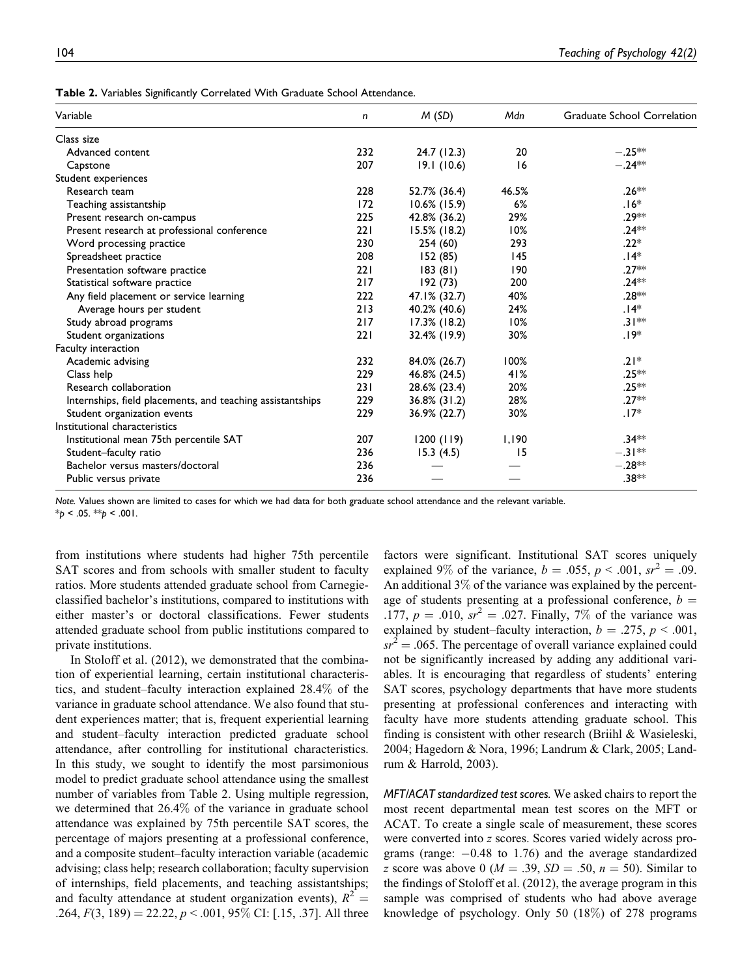| Variable                                                   | n   | M(SD)           | Mdn   | <b>Graduate School Correlation</b> |
|------------------------------------------------------------|-----|-----------------|-------|------------------------------------|
| Class size                                                 |     |                 |       |                                    |
| Advanced content                                           | 232 | 24.7 (12.3)     | 20    | $-.25**$                           |
| Capstone                                                   | 207 | 19.1(10.6)      | 16    | $-.24**$                           |
| Student experiences                                        |     |                 |       |                                    |
| Research team                                              | 228 | 52.7% (36.4)    | 46.5% | $.26**$                            |
| Teaching assistantship                                     | 172 | $10.6\%$ (15.9) | 6%    | $.16*$                             |
| Present research on-campus                                 | 225 | 42.8% (36.2)    | 29%   | .29**                              |
| Present research at professional conference                | 221 | 15.5% (18.2)    | 10%   | $.24**$                            |
| Word processing practice                                   | 230 | 254 (60)        | 293   | $.22*$                             |
| Spreadsheet practice                                       | 208 | 152 (85)        | 145   | $.14*$                             |
| Presentation software practice                             | 221 | 183(81)         | 190   | $.27**$                            |
| Statistical software practice                              | 217 | 192 (73)        | 200   | $.24**$                            |
| Any field placement or service learning                    | 222 | 47.1% (32.7)    | 40%   | .28 **                             |
| Average hours per student                                  | 213 | 40.2% (40.6)    | 24%   | $.14*$                             |
| Study abroad programs                                      | 217 | $17.3\%$ (18.2) | 10%   | $.31**$                            |
| Student organizations                                      | 221 | 32.4% (19.9)    | 30%   | $.19*$                             |
| Faculty interaction                                        |     |                 |       |                                    |
| Academic advising                                          | 232 | 84.0% (26.7)    | 100%  | $.21*$                             |
| Class help                                                 | 229 | 46.8% (24.5)    | 41%   | .25**                              |
| Research collaboration                                     | 231 | 28.6% (23.4)    | 20%   | $.25**$                            |
| Internships, field placements, and teaching assistantships | 229 | $36.8\%$ (31.2) | 28%   | $.27**$                            |
| Student organization events                                | 229 | 36.9% (22.7)    | 30%   | $.17*$                             |
| Institutional characteristics                              |     |                 |       |                                    |
| Institutional mean 75th percentile SAT                     | 207 | 1200(119)       | 1,190 | $.34**$                            |
| Student-faculty ratio                                      | 236 | 15.3(4.5)       | 15    | $-.31**$                           |
| Bachelor versus masters/doctoral                           | 236 |                 |       | $-.28**$                           |
| Public versus private                                      | 236 |                 |       | .38**                              |

Note. Values shown are limited to cases for which we had data for both graduate school attendance and the relevant variable.

 $*_{p}$  < .05.  $*_{p}$  < .001.

from institutions where students had higher 75th percentile SAT scores and from schools with smaller student to faculty ratios. More students attended graduate school from Carnegieclassified bachelor's institutions, compared to institutions with either master's or doctoral classifications. Fewer students attended graduate school from public institutions compared to private institutions.

In Stoloff et al. (2012), we demonstrated that the combination of experiential learning, certain institutional characteristics, and student–faculty interaction explained 28.4% of the variance in graduate school attendance. We also found that student experiences matter; that is, frequent experiential learning and student–faculty interaction predicted graduate school attendance, after controlling for institutional characteristics. In this study, we sought to identify the most parsimonious model to predict graduate school attendance using the smallest number of variables from Table 2. Using multiple regression, we determined that 26.4% of the variance in graduate school attendance was explained by 75th percentile SAT scores, the percentage of majors presenting at a professional conference, and a composite student–faculty interaction variable (academic advising; class help; research collaboration; faculty supervision of internships, field placements, and teaching assistantships; and faculty attendance at student organization events),  $R^2 =$ .264,  $F(3, 189) = 22.22, p < .001, 95\%$  CI: [.15, .37]. All three

factors were significant. Institutional SAT scores uniquely explained 9% of the variance,  $b = .055$ ,  $p < .001$ ,  $sr^2 = .09$ . An additional  $3\%$  of the variance was explained by the percentage of students presenting at a professional conference,  $b =$ .177,  $p = .010$ ,  $sr^2 = .027$ . Finally, 7% of the variance was explained by student–faculty interaction,  $b = .275$ ,  $p < .001$ ,  $sr^2 = .065$ . The percentage of overall variance explained could not be significantly increased by adding any additional variables. It is encouraging that regardless of students' entering SAT scores, psychology departments that have more students presenting at professional conferences and interacting with faculty have more students attending graduate school. This finding is consistent with other research (Briihl & Wasieleski, 2004; Hagedorn & Nora, 1996; Landrum & Clark, 2005; Landrum & Harrold, 2003).

MFT/ACAT standardized test scores. We asked chairs to report the most recent departmental mean test scores on the MFT or ACAT. To create a single scale of measurement, these scores were converted into z scores. Scores varied widely across programs (range:  $-0.48$  to 1.76) and the average standardized z score was above 0 ( $M = .39$ ,  $SD = .50$ ,  $n = 50$ ). Similar to the findings of Stoloff et al. (2012), the average program in this sample was comprised of students who had above average knowledge of psychology. Only 50 (18%) of 278 programs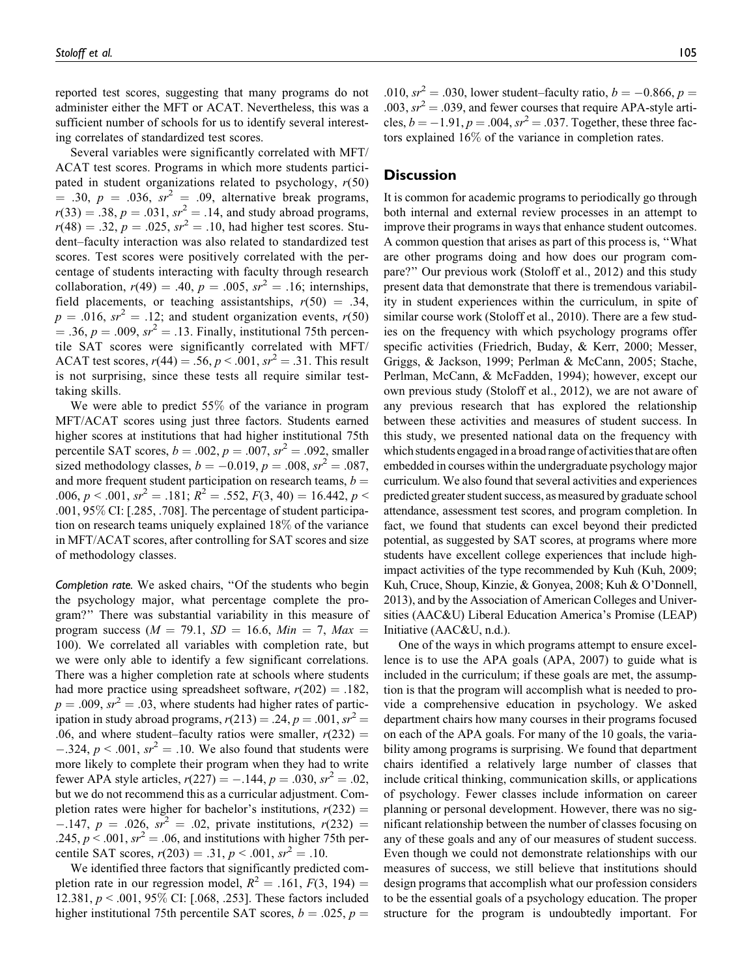reported test scores, suggesting that many programs do not administer either the MFT or ACAT. Nevertheless, this was a sufficient number of schools for us to identify several interesting correlates of standardized test scores.

Several variables were significantly correlated with MFT/ ACAT test scores. Programs in which more students participated in student organizations related to psychology,  $r(50)$  $= .30, p = .036, sr<sup>2</sup> = .09, alternative break programs,$  $r(33) = .38, p = .031, sr<sup>2</sup> = .14, and study abroad programs,$  $r(48) = .32, p = .025, sr^2 = .10$ , had higher test scores. Student–faculty interaction was also related to standardized test scores. Test scores were positively correlated with the percentage of students interacting with faculty through research collaboration,  $r(49) = .40$ ,  $p = .005$ ,  $sr^2 = .16$ ; internships, field placements, or teaching assistantships,  $r(50) = .34$ ,  $p = .016$ ,  $sr^2 = .12$ ; and student organization events,  $r(50)$  $= .36, p = .009, sr<sup>2</sup> = .13. Finally, institutional 75th percen$ tile SAT scores were significantly correlated with MFT/ ACAT test scores,  $r(44) = .56$ ,  $p < .001$ ,  $sr^2 = .31$ . This result is not surprising, since these tests all require similar testtaking skills.

We were able to predict 55% of the variance in program MFT/ACAT scores using just three factors. Students earned higher scores at institutions that had higher institutional 75th percentile SAT scores,  $b = .002$ ,  $p = .007$ ,  $sr^2 = .092$ , smaller sized methodology classes,  $b = -0.019$ ,  $p = .008$ ,  $sr^2 = .087$ , and more frequent student participation on research teams,  $b =$ .006,  $p < .001$ ,  $sr^2 = .181$ ;  $R^2 = .552$ ,  $F(3, 40) = 16.442$ ,  $p <$ .001, 95% CI: [.285, .708]. The percentage of student participation on research teams uniquely explained 18% of the variance in MFT/ACAT scores, after controlling for SAT scores and size of methodology classes.

Completion rate. We asked chairs, ''Of the students who begin the psychology major, what percentage complete the program?'' There was substantial variability in this measure of program success ( $M = 79.1$ ,  $SD = 16.6$ ,  $Min = 7$ ,  $Max =$ 100). We correlated all variables with completion rate, but we were only able to identify a few significant correlations. There was a higher completion rate at schools where students had more practice using spreadsheet software,  $r(202) = .182$ .  $p = .009$ ,  $sr^2 = .03$ , where students had higher rates of participation in study abroad programs,  $r(213) = .24$ ,  $p = .001$ ,  $sr^2 =$ .06, and where student–faculty ratios were smaller,  $r(232) =$  $-.324, p \leq .001, sr^2 = .10$ . We also found that students were more likely to complete their program when they had to write fewer APA style articles,  $r(227) = -.144$ ,  $p = .030$ ,  $sr^2 = .02$ , but we do not recommend this as a curricular adjustment. Completion rates were higher for bachelor's institutions,  $r(232) =$  $-147$ ,  $p = .026$ ,  $sr^2 = .02$ , private institutions,  $r(232) =$ .245,  $p < .001$ ,  $sr^2 = .06$ , and institutions with higher 75th percentile SAT scores,  $r(203) = .31$ ,  $p < .001$ ,  $sr^2 = .10$ .

We identified three factors that significantly predicted completion rate in our regression model,  $R^2 = .161, F(3, 194) =$ 12.381, p < .001, 95% CI: [.068, .253]. These factors included higher institutional 75th percentile SAT scores,  $b = .025$ ,  $p =$ 

.010,  $sr^2 = .030$ , lower student–faculty ratio,  $b = -0.866$ ,  $p =$ .003,  $sr^2 = .039$ , and fewer courses that require APA-style articles,  $b = -1.91$ ,  $p = .004$ ,  $sr^2 = .037$ . Together, these three fac-

tors explained 16% of the variance in completion rates.

## **Discussion**

It is common for academic programs to periodically go through both internal and external review processes in an attempt to improve their programs in ways that enhance student outcomes. A common question that arises as part of this process is, ''What are other programs doing and how does our program compare?'' Our previous work (Stoloff et al., 2012) and this study present data that demonstrate that there is tremendous variability in student experiences within the curriculum, in spite of similar course work (Stoloff et al., 2010). There are a few studies on the frequency with which psychology programs offer specific activities (Friedrich, Buday, & Kerr, 2000; Messer, Griggs, & Jackson, 1999; Perlman & McCann, 2005; Stache, Perlman, McCann, & McFadden, 1994); however, except our own previous study (Stoloff et al., 2012), we are not aware of any previous research that has explored the relationship between these activities and measures of student success. In this study, we presented national data on the frequency with which students engaged in a broad range of activities that are often embedded in courses within the undergraduate psychology major curriculum. We also found that several activities and experiences predicted greater student success, as measured by graduate school attendance, assessment test scores, and program completion. In fact, we found that students can excel beyond their predicted potential, as suggested by SAT scores, at programs where more students have excellent college experiences that include highimpact activities of the type recommended by Kuh (Kuh, 2009; Kuh, Cruce, Shoup, Kinzie, & Gonyea, 2008; Kuh & O'Donnell, 2013), and by the Association of American Colleges and Universities (AAC&U) Liberal Education America's Promise (LEAP) Initiative (AAC&U, n.d.).

One of the ways in which programs attempt to ensure excellence is to use the APA goals (APA, 2007) to guide what is included in the curriculum; if these goals are met, the assumption is that the program will accomplish what is needed to provide a comprehensive education in psychology. We asked department chairs how many courses in their programs focused on each of the APA goals. For many of the 10 goals, the variability among programs is surprising. We found that department chairs identified a relatively large number of classes that include critical thinking, communication skills, or applications of psychology. Fewer classes include information on career planning or personal development. However, there was no significant relationship between the number of classes focusing on any of these goals and any of our measures of student success. Even though we could not demonstrate relationships with our measures of success, we still believe that institutions should design programs that accomplish what our profession considers to be the essential goals of a psychology education. The proper structure for the program is undoubtedly important. For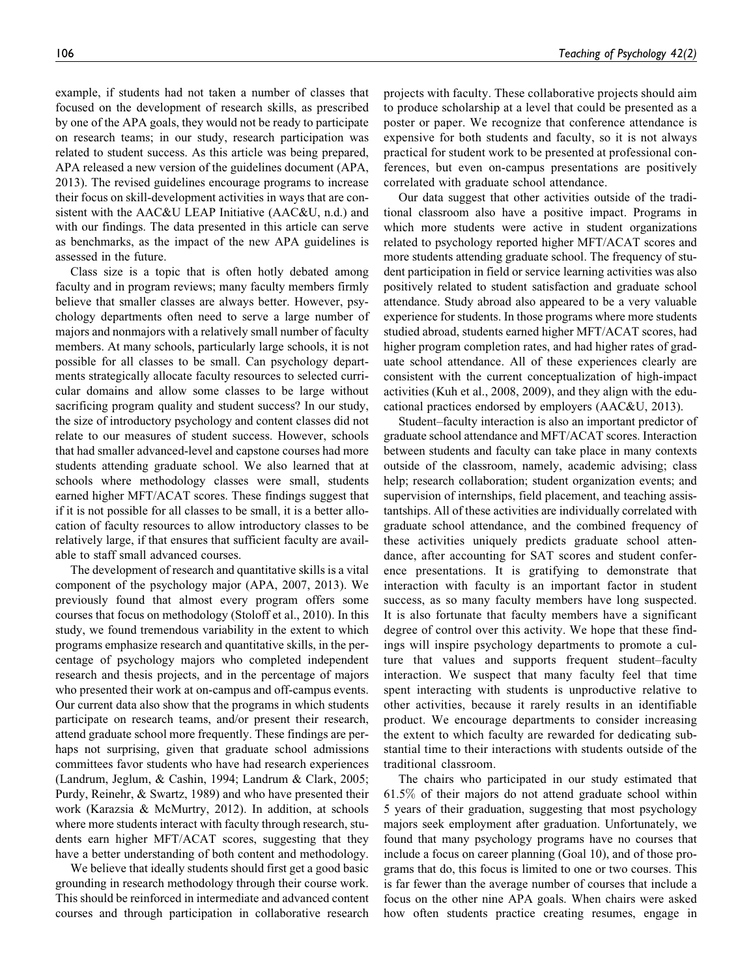example, if students had not taken a number of classes that focused on the development of research skills, as prescribed by one of the APA goals, they would not be ready to participate on research teams; in our study, research participation was related to student success. As this article was being prepared, APA released a new version of the guidelines document (APA, 2013). The revised guidelines encourage programs to increase their focus on skill-development activities in ways that are consistent with the AAC&U LEAP Initiative (AAC&U, n.d.) and with our findings. The data presented in this article can serve as benchmarks, as the impact of the new APA guidelines is assessed in the future.

Class size is a topic that is often hotly debated among faculty and in program reviews; many faculty members firmly believe that smaller classes are always better. However, psychology departments often need to serve a large number of majors and nonmajors with a relatively small number of faculty members. At many schools, particularly large schools, it is not possible for all classes to be small. Can psychology departments strategically allocate faculty resources to selected curricular domains and allow some classes to be large without sacrificing program quality and student success? In our study, the size of introductory psychology and content classes did not relate to our measures of student success. However, schools that had smaller advanced-level and capstone courses had more students attending graduate school. We also learned that at schools where methodology classes were small, students earned higher MFT/ACAT scores. These findings suggest that if it is not possible for all classes to be small, it is a better allocation of faculty resources to allow introductory classes to be relatively large, if that ensures that sufficient faculty are available to staff small advanced courses.

The development of research and quantitative skills is a vital component of the psychology major (APA, 2007, 2013). We previously found that almost every program offers some courses that focus on methodology (Stoloff et al., 2010). In this study, we found tremendous variability in the extent to which programs emphasize research and quantitative skills, in the percentage of psychology majors who completed independent research and thesis projects, and in the percentage of majors who presented their work at on-campus and off-campus events. Our current data also show that the programs in which students participate on research teams, and/or present their research, attend graduate school more frequently. These findings are perhaps not surprising, given that graduate school admissions committees favor students who have had research experiences (Landrum, Jeglum, & Cashin, 1994; Landrum & Clark, 2005; Purdy, Reinehr, & Swartz, 1989) and who have presented their work (Karazsia & McMurtry, 2012). In addition, at schools where more students interact with faculty through research, students earn higher MFT/ACAT scores, suggesting that they have a better understanding of both content and methodology.

We believe that ideally students should first get a good basic grounding in research methodology through their course work. This should be reinforced in intermediate and advanced content courses and through participation in collaborative research projects with faculty. These collaborative projects should aim to produce scholarship at a level that could be presented as a poster or paper. We recognize that conference attendance is expensive for both students and faculty, so it is not always practical for student work to be presented at professional conferences, but even on-campus presentations are positively correlated with graduate school attendance.

Our data suggest that other activities outside of the traditional classroom also have a positive impact. Programs in which more students were active in student organizations related to psychology reported higher MFT/ACAT scores and more students attending graduate school. The frequency of student participation in field or service learning activities was also positively related to student satisfaction and graduate school attendance. Study abroad also appeared to be a very valuable experience for students. In those programs where more students studied abroad, students earned higher MFT/ACAT scores, had higher program completion rates, and had higher rates of graduate school attendance. All of these experiences clearly are consistent with the current conceptualization of high-impact activities (Kuh et al., 2008, 2009), and they align with the educational practices endorsed by employers (AAC&U, 2013).

Student–faculty interaction is also an important predictor of graduate school attendance and MFT/ACAT scores. Interaction between students and faculty can take place in many contexts outside of the classroom, namely, academic advising; class help; research collaboration; student organization events; and supervision of internships, field placement, and teaching assistantships. All of these activities are individually correlated with graduate school attendance, and the combined frequency of these activities uniquely predicts graduate school attendance, after accounting for SAT scores and student conference presentations. It is gratifying to demonstrate that interaction with faculty is an important factor in student success, as so many faculty members have long suspected. It is also fortunate that faculty members have a significant degree of control over this activity. We hope that these findings will inspire psychology departments to promote a culture that values and supports frequent student–faculty interaction. We suspect that many faculty feel that time spent interacting with students is unproductive relative to other activities, because it rarely results in an identifiable product. We encourage departments to consider increasing the extent to which faculty are rewarded for dedicating substantial time to their interactions with students outside of the traditional classroom.

The chairs who participated in our study estimated that 61.5% of their majors do not attend graduate school within 5 years of their graduation, suggesting that most psychology majors seek employment after graduation. Unfortunately, we found that many psychology programs have no courses that include a focus on career planning (Goal 10), and of those programs that do, this focus is limited to one or two courses. This is far fewer than the average number of courses that include a focus on the other nine APA goals. When chairs were asked how often students practice creating resumes, engage in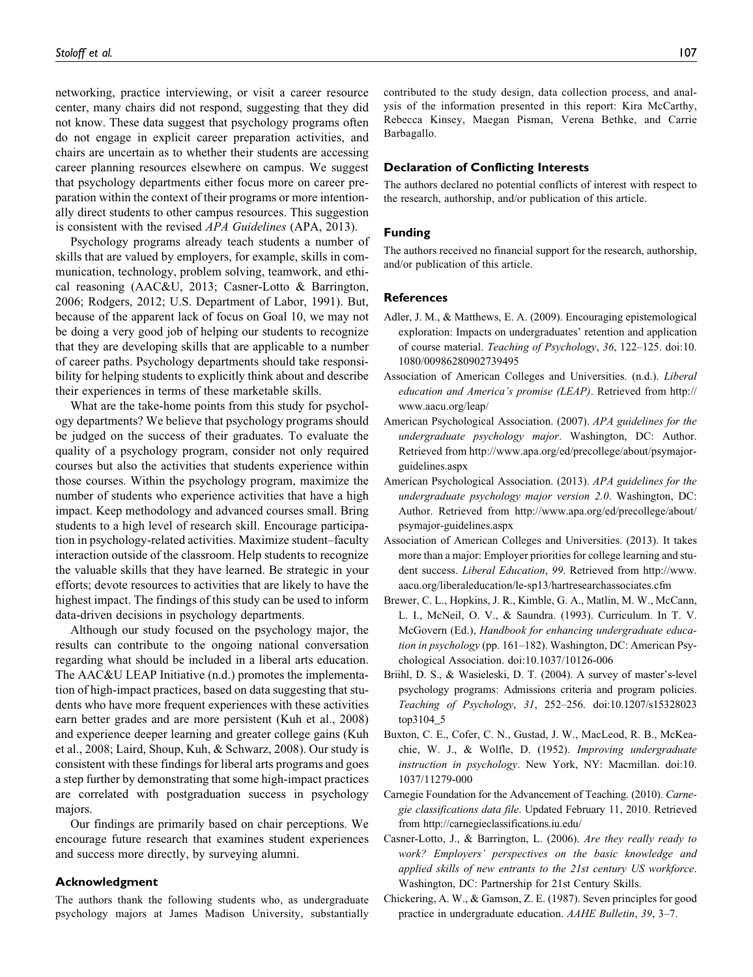networking, practice interviewing, or visit a career resource center, many chairs did not respond, suggesting that they did not know. These data suggest that psychology programs often do not engage in explicit career preparation activities, and chairs are uncertain as to whether their students are accessing career planning resources elsewhere on campus. We suggest that psychology departments either focus more on career preparation within the context of their programs or more intentionally direct students to other campus resources. This suggestion is consistent with the revised APA Guidelines (APA, 2013).

Psychology programs already teach students a number of skills that are valued by employers, for example, skills in communication, technology, problem solving, teamwork, and ethical reasoning (AAC&U, 2013; Casner-Lotto & Barrington, 2006; Rodgers, 2012; U.S. Department of Labor, 1991). But, because of the apparent lack of focus on Goal 10, we may not be doing a very good job of helping our students to recognize that they are developing skills that are applicable to a number of career paths. Psychology departments should take responsibility for helping students to explicitly think about and describe their experiences in terms of these marketable skills.

What are the take-home points from this study for psychology departments? We believe that psychology programs should be judged on the success of their graduates. To evaluate the quality of a psychology program, consider not only required courses but also the activities that students experience within those courses. Within the psychology program, maximize the number of students who experience activities that have a high impact. Keep methodology and advanced courses small. Bring students to a high level of research skill. Encourage participation in psychology-related activities. Maximize student–faculty interaction outside of the classroom. Help students to recognize the valuable skills that they have learned. Be strategic in your efforts; devote resources to activities that are likely to have the highest impact. The findings of this study can be used to inform data-driven decisions in psychology departments.

Although our study focused on the psychology major, the results can contribute to the ongoing national conversation regarding what should be included in a liberal arts education. The AAC&U LEAP Initiative (n.d.) promotes the implementation of high-impact practices, based on data suggesting that students who have more frequent experiences with these activities earn better grades and are more persistent (Kuh et al., 2008) and experience deeper learning and greater college gains (Kuh et al., 2008; Laird, Shoup, Kuh, & Schwarz, 2008). Our study is consistent with these findings for liberal arts programs and goes a step further by demonstrating that some high-impact practices are correlated with postgraduation success in psychology majors.

Our findings are primarily based on chair perceptions. We encourage future research that examines student experiences and success more directly, by surveying alumni.

## Acknowledgment

The authors thank the following students who, as undergraduate psychology majors at James Madison University, substantially

contributed to the study design, data collection process, and analysis of the information presented in this report: Kira McCarthy, Rebecca Kinsey, Maegan Pisman, Verena Bethke, and Carrie Barbagallo.

#### Declaration of Conflicting Interests

The authors declared no potential conflicts of interest with respect to the research, authorship, and/or publication of this article.

#### Funding

The authors received no financial support for the research, authorship, and/or publication of this article.

#### References

- Adler, J. M., & Matthews, E. A. (2009). Encouraging epistemological exploration: Impacts on undergraduates' retention and application of course material. Teaching of Psychology, 36, 122–125. doi:10. 1080/00986280902739495
- Association of American Colleges and Universities. (n.d.). Liberal education and America's promise (LEAP). Retrieved from [http://](http://www.aacu.org/leap/) [www.aacu.org/leap/](http://www.aacu.org/leap/)
- American Psychological Association. (2007). APA guidelines for the undergraduate psychology major. Washington, DC: Author. Retrieved from [http://www.apa.org/ed/precollege/about/psymajor](http://www.apa.org/ed/precollege/about/psymajor-guidelines.aspx)[guidelines.aspx](http://www.apa.org/ed/precollege/about/psymajor-guidelines.aspx)
- American Psychological Association. (2013). APA guidelines for the undergraduate psychology major version 2.0. Washington, DC: Author. Retrieved from [http://www.apa.org/ed/precollege/about/](http://www.apa.org/ed/precollege/about/psymajor-guidelines.aspx) [psymajor-guidelines.aspx](http://www.apa.org/ed/precollege/about/psymajor-guidelines.aspx)
- Association of American Colleges and Universities. (2013). It takes more than a major: Employer priorities for college learning and student success. Liberal Education, 99. Retrieved from [http://www.](http://www.aacu.org/liberaleducation/le-sp13/hartresearchassociates.cfm) [aacu.org/liberaleducation/le-sp13/hartresearchassociates.cfm](http://www.aacu.org/liberaleducation/le-sp13/hartresearchassociates.cfm)
- Brewer, C. L., Hopkins, J. R., Kimble, G. A., Matlin, M. W., McCann, L. I., McNeil, O. V., & Saundra. (1993). Curriculum. In T. V. McGovern (Ed.), Handbook for enhancing undergraduate education in psychology (pp. 161–182). Washington, DC: American Psychological Association. doi:10.1037/10126-006
- Briihl, D. S., & Wasieleski, D. T. (2004). A survey of master's-level psychology programs: Admissions criteria and program policies. Teaching of Psychology, 31, 252–256. doi:10.1207/s15328023 top3104\_5
- Buxton, C. E., Cofer, C. N., Gustad, J. W., MacLeod, R. B., McKeachie, W. J., & Wolfle, D. (1952). Improving undergraduate instruction in psychology. New York, NY: Macmillan. doi:10. 1037/11279-000
- Carnegie Foundation for the Advancement of Teaching. (2010). Carnegie classifications data file. Updated February 11, 2010. Retrieved from<http://carnegieclassifications.iu.edu/>
- Casner-Lotto, J., & Barrington, L. (2006). Are they really ready to work? Employers' perspectives on the basic knowledge and applied skills of new entrants to the 21st century US workforce. Washington, DC: Partnership for 21st Century Skills.
- Chickering, A. W., & Gamson, Z. E. (1987). Seven principles for good practice in undergraduate education. AAHE Bulletin, 39, 3–7.